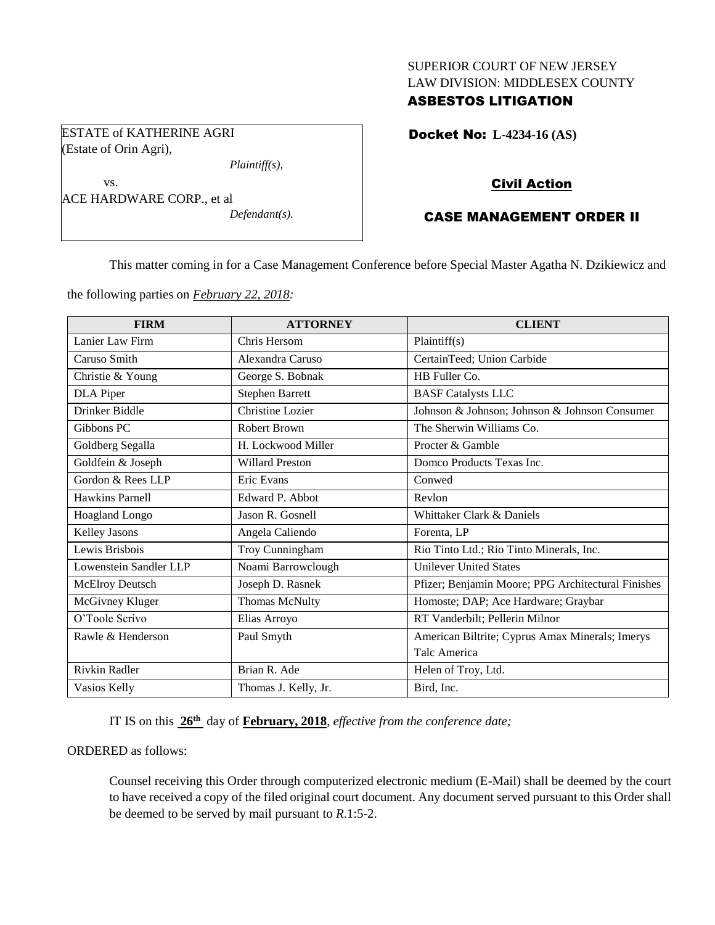## SUPERIOR COURT OF NEW JERSEY LAW DIVISION: MIDDLESEX COUNTY

# ASBESTOS LITIGATION

ESTATE of KATHERINE AGRI (Estate of Orin Agri),

*Plaintiff(s),*

vs. ACE HARDWARE CORP., et al *Defendant(s).* Docket No: **L-4234-16 (AS)** 

# Civil Action

# CASE MANAGEMENT ORDER II

This matter coming in for a Case Management Conference before Special Master Agatha N. Dzikiewicz and

the following parties on *February 22, 2018:*

| <b>FIRM</b>            | <b>ATTORNEY</b>         | <b>CLIENT</b>                                      |
|------------------------|-------------------------|----------------------------------------------------|
| Lanier Law Firm        | Chris Hersom            | Plaintiff(s)                                       |
| Caruso Smith           | Alexandra Caruso        | CertainTeed; Union Carbide                         |
| Christie & Young       | George S. Bobnak        | HB Fuller Co.                                      |
| <b>DLA</b> Piper       | <b>Stephen Barrett</b>  | <b>BASF Catalysts LLC</b>                          |
| Drinker Biddle         | <b>Christine Lozier</b> | Johnson & Johnson; Johnson & Johnson Consumer      |
| Gibbons PC             | Robert Brown            | The Sherwin Williams Co.                           |
| Goldberg Segalla       | H. Lockwood Miller      | Procter & Gamble                                   |
| Goldfein & Joseph      | <b>Willard Preston</b>  | Domco Products Texas Inc.                          |
| Gordon & Rees LLP      | <b>Eric Evans</b>       | Conwed                                             |
| Hawkins Parnell        | Edward P. Abbot         | Revlon                                             |
| <b>Hoagland Longo</b>  | Jason R. Gosnell        | Whittaker Clark & Daniels                          |
| Kelley Jasons          | Angela Caliendo         | Forenta, LP                                        |
| Lewis Brisbois         | Troy Cunningham         | Rio Tinto Ltd.; Rio Tinto Minerals, Inc.           |
| Lowenstein Sandler LLP | Noami Barrowclough      | <b>Unilever United States</b>                      |
| McElroy Deutsch        | Joseph D. Rasnek        | Pfizer; Benjamin Moore; PPG Architectural Finishes |
| McGivney Kluger        | Thomas McNulty          | Homoste; DAP; Ace Hardware; Graybar                |
| O'Toole Scrivo         | Elias Arroyo            | RT Vanderbilt; Pellerin Milnor                     |
| Rawle & Henderson      | Paul Smyth              | American Biltrite; Cyprus Amax Minerals; Imerys    |
|                        |                         | Talc America                                       |
| Rivkin Radler          | Brian R. Ade            | Helen of Troy, Ltd.                                |
| Vasios Kelly           | Thomas J. Kelly, Jr.    | Bird, Inc.                                         |

IT IS on this  $26<sup>th</sup>$  day of **February, 2018**, *effective from the conference date*;

## ORDERED as follows:

Counsel receiving this Order through computerized electronic medium (E-Mail) shall be deemed by the court to have received a copy of the filed original court document. Any document served pursuant to this Order shall be deemed to be served by mail pursuant to *R*.1:5-2.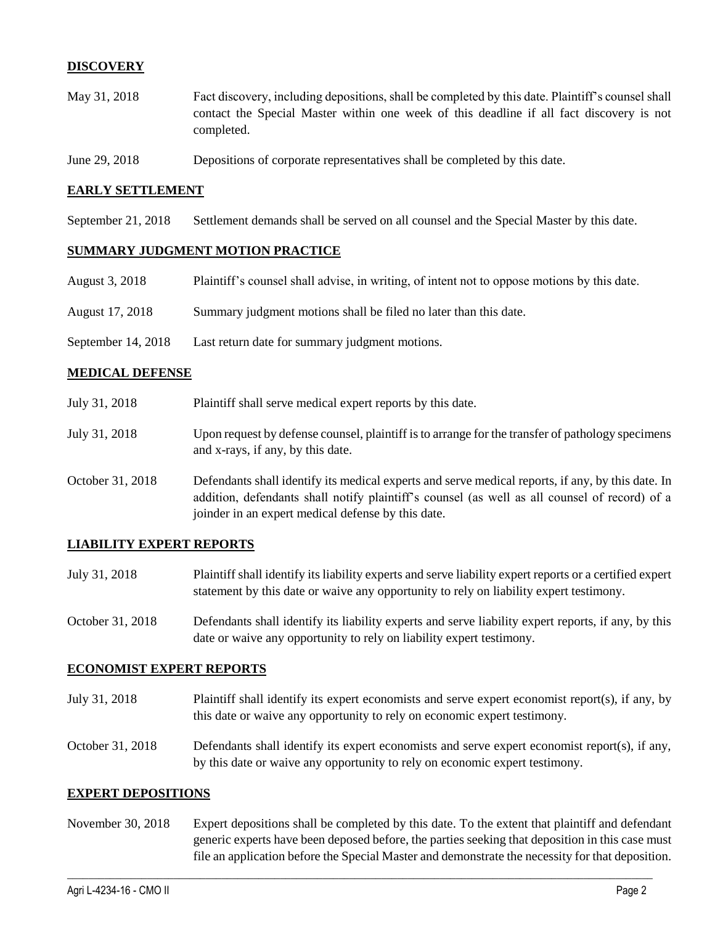# **DISCOVERY**

- May 31, 2018 Fact discovery, including depositions, shall be completed by this date. Plaintiff's counsel shall contact the Special Master within one week of this deadline if all fact discovery is not completed.
- June 29, 2018 Depositions of corporate representatives shall be completed by this date.

## **EARLY SETTLEMENT**

September 21, 2018 Settlement demands shall be served on all counsel and the Special Master by this date.

#### **SUMMARY JUDGMENT MOTION PRACTICE**

| August 3, 2018     | Plaintiff's counsel shall advise, in writing, of intent not to oppose motions by this date. |
|--------------------|---------------------------------------------------------------------------------------------|
| August 17, 2018    | Summary judgment motions shall be filed no later than this date.                            |
| September 14, 2018 | Last return date for summary judgment motions.                                              |

#### **MEDICAL DEFENSE**

| July 31, 2018    | Plaintiff shall serve medical expert reports by this date.                                                                                                                                                                                               |
|------------------|----------------------------------------------------------------------------------------------------------------------------------------------------------------------------------------------------------------------------------------------------------|
| July 31, 2018    | Upon request by defense counsel, plaintiff is to arrange for the transfer of pathology specimens<br>and x-rays, if any, by this date.                                                                                                                    |
| October 31, 2018 | Defendants shall identify its medical experts and serve medical reports, if any, by this date. In<br>addition, defendants shall notify plaintiff's counsel (as well as all counsel of record) of a<br>joinder in an expert medical defense by this date. |

## **LIABILITY EXPERT REPORTS**

- July 31, 2018 Plaintiff shall identify its liability experts and serve liability expert reports or a certified expert statement by this date or waive any opportunity to rely on liability expert testimony.
- October 31, 2018 Defendants shall identify its liability experts and serve liability expert reports, if any, by this date or waive any opportunity to rely on liability expert testimony.

#### **ECONOMIST EXPERT REPORTS**

- July 31, 2018 Plaintiff shall identify its expert economists and serve expert economist report(s), if any, by this date or waive any opportunity to rely on economic expert testimony.
- October 31, 2018 Defendants shall identify its expert economists and serve expert economist report(s), if any, by this date or waive any opportunity to rely on economic expert testimony.

#### **EXPERT DEPOSITIONS**

November 30, 2018 Expert depositions shall be completed by this date. To the extent that plaintiff and defendant generic experts have been deposed before, the parties seeking that deposition in this case must file an application before the Special Master and demonstrate the necessity for that deposition.

 $\_$  ,  $\_$  ,  $\_$  ,  $\_$  ,  $\_$  ,  $\_$  ,  $\_$  ,  $\_$  ,  $\_$  ,  $\_$  ,  $\_$  ,  $\_$  ,  $\_$  ,  $\_$  ,  $\_$  ,  $\_$  ,  $\_$  ,  $\_$  ,  $\_$  ,  $\_$  ,  $\_$  ,  $\_$  ,  $\_$  ,  $\_$  ,  $\_$  ,  $\_$  ,  $\_$  ,  $\_$  ,  $\_$  ,  $\_$  ,  $\_$  ,  $\_$  ,  $\_$  ,  $\_$  ,  $\_$  ,  $\_$  ,  $\_$  ,